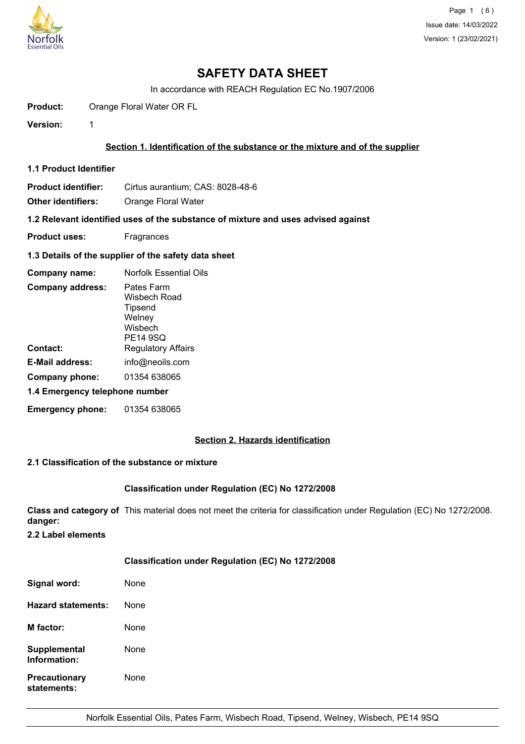

# **SAFETY DATA SHEET**

In accordance with REACH Regulation EC No.1907/2006

**Product:** Orange Floral Water OR FL

**Version:** 1

# **Section 1. Identification of the substance or the mixture and of the supplier**

**1.1 Product Identifier**

**Product identifier:** Cirtus aurantium; CAS: 8028-48-6

**Other identifiers:** Orange Floral Water

**1.2 Relevant identified uses of the substance of mixture and uses advised against**

- **Product uses:** Fragrances
- **1.3 Details of the supplier of the safety data sheet**

| Company name:                  | Norfolk Essential Oils                                                        |  |
|--------------------------------|-------------------------------------------------------------------------------|--|
| <b>Company address:</b>        | Pates Farm<br>Wisbech Road<br>Tipsend<br>Welney<br>Wisbech<br><b>PE14 9SQ</b> |  |
| Contact:                       | <b>Regulatory Affairs</b>                                                     |  |
| <b>E-Mail address:</b>         | info@neoils.com                                                               |  |
| Company phone:                 | 01354 638065                                                                  |  |
| 1.4 Emergency telephone number |                                                                               |  |
| <b>Emergency phone:</b>        | 01354 638065                                                                  |  |

# **Section 2. Hazards identification**

# **2.1 Classification of the substance or mixture**

# **Classification under Regulation (EC) No 1272/2008**

**Class and category of** This material does not meet the criteria for classification under Regulation (EC) No 1272/2008. **danger:**

**2.2 Label elements**

# **Classification under Regulation (EC) No 1272/2008**

| Signal word:                        | None |
|-------------------------------------|------|
| Hazard statements:                  | None |
| <b>M</b> factor:                    | None |
| Supplemental<br>Information:        | None |
| <b>Precautionary</b><br>statements: | None |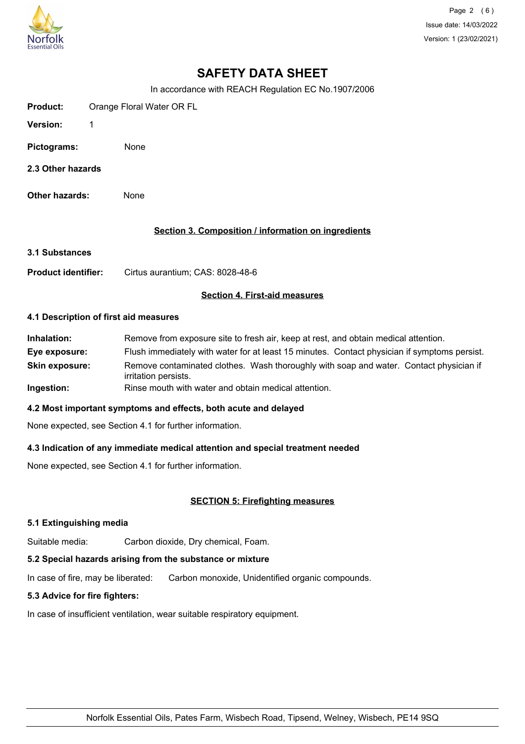

Page 2 (6) Issue date: 14/03/2022 Version: 1 (23/02/2021)

# **SAFETY DATA SHEET**

In accordance with REACH Regulation EC No.1907/2006

| Product:        | Orange Floral Water OR FL |  |
|-----------------|---------------------------|--|
| <b>Version:</b> |                           |  |
| Pictograms:     | None                      |  |

- **2.3 Other hazards**
- **Other hazards:** None

### **Section 3. Composition / information on ingredients**

**3.1 Substances**

Product identifier: Cirtus aurantium; CAS: 8028-48-6

### **Section 4. First-aid measures**

#### **4.1 Description of first aid measures**

| Inhalation:           | Remove from exposure site to fresh air, keep at rest, and obtain medical attention.                            |
|-----------------------|----------------------------------------------------------------------------------------------------------------|
| Eye exposure:         | Flush immediately with water for at least 15 minutes. Contact physician if symptoms persist.                   |
| <b>Skin exposure:</b> | Remove contaminated clothes. Wash thoroughly with soap and water. Contact physician if<br>irritation persists. |
| Ingestion:            | Rinse mouth with water and obtain medical attention.                                                           |

#### **4.2 Most important symptoms and effects, both acute and delayed**

None expected, see Section 4.1 for further information.

# **4.3 Indication of any immediate medical attention and special treatment needed**

None expected, see Section 4.1 for further information.

# **SECTION 5: Firefighting measures**

#### **5.1 Extinguishing media**

Suitable media: Carbon dioxide, Dry chemical, Foam.

# **5.2 Special hazards arising from the substance or mixture**

In case of fire, may be liberated: Carbon monoxide, Unidentified organic compounds.

### **5.3 Advice for fire fighters:**

In case of insufficient ventilation, wear suitable respiratory equipment.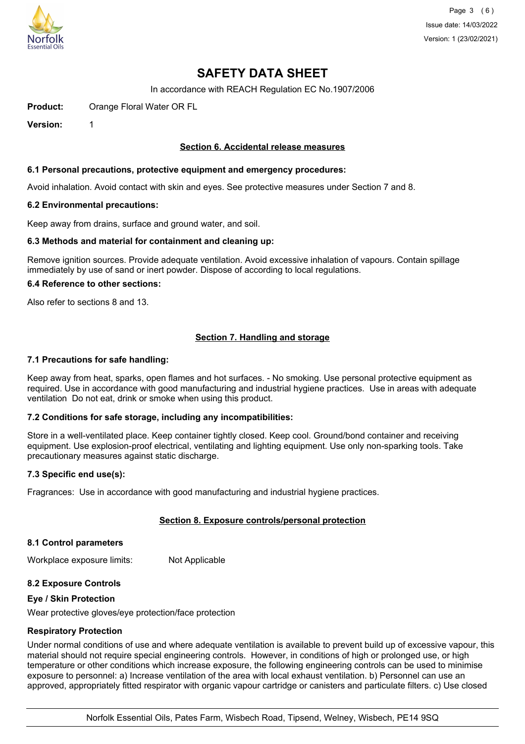

# **SAFETY DATA SHEET**

In accordance with REACH Regulation EC No.1907/2006

**Product:** Orange Floral Water OR FL

**Version:** 1

### **Section 6. Accidental release measures**

#### **6.1 Personal precautions, protective equipment and emergency procedures:**

Avoid inhalation. Avoid contact with skin and eyes. See protective measures under Section 7 and 8.

#### **6.2 Environmental precautions:**

Keep away from drains, surface and ground water, and soil.

#### **6.3 Methods and material for containment and cleaning up:**

Remove ignition sources. Provide adequate ventilation. Avoid excessive inhalation of vapours. Contain spillage immediately by use of sand or inert powder. Dispose of according to local regulations.

#### **6.4 Reference to other sections:**

Also refer to sections 8 and 13.

# **Section 7. Handling and storage**

### **7.1 Precautions for safe handling:**

Keep away from heat, sparks, open flames and hot surfaces. - No smoking. Use personal protective equipment as required. Use in accordance with good manufacturing and industrial hygiene practices. Use in areas with adequate ventilation Do not eat, drink or smoke when using this product.

# **7.2 Conditions for safe storage, including any incompatibilities:**

Store in a well-ventilated place. Keep container tightly closed. Keep cool. Ground/bond container and receiving equipment. Use explosion-proof electrical, ventilating and lighting equipment. Use only non-sparking tools. Take precautionary measures against static discharge.

#### **7.3 Specific end use(s):**

Fragrances: Use in accordance with good manufacturing and industrial hygiene practices.

# **Section 8. Exposure controls/personal protection**

#### **8.1 Control parameters**

Workplace exposure limits: Not Applicable

# **8.2 Exposure Controls**

#### **Eye / Skin Protection**

Wear protective gloves/eye protection/face protection

#### **Respiratory Protection**

Under normal conditions of use and where adequate ventilation is available to prevent build up of excessive vapour, this material should not require special engineering controls. However, in conditions of high or prolonged use, or high temperature or other conditions which increase exposure, the following engineering controls can be used to minimise exposure to personnel: a) Increase ventilation of the area with local exhaust ventilation. b) Personnel can use an approved, appropriately fitted respirator with organic vapour cartridge or canisters and particulate filters. c) Use closed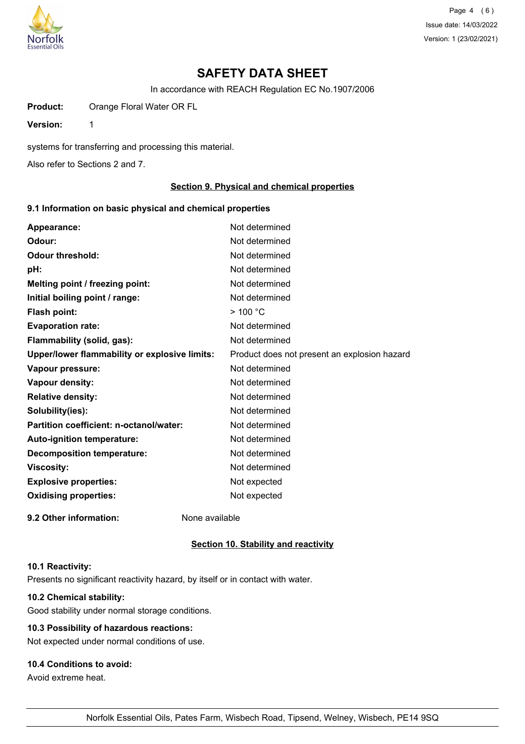

Page 4 (6) Issue date: 14/03/2022 Version: 1 (23/02/2021)

# **SAFETY DATA SHEET**

In accordance with REACH Regulation EC No.1907/2006

**Product:** Orange Floral Water OR FL

**Version:** 1

systems for transferring and processing this material.

Also refer to Sections 2 and 7.

# **Section 9. Physical and chemical properties**

### **9.1 Information on basic physical and chemical properties**

| Appearance:                                   | Not determined                               |
|-----------------------------------------------|----------------------------------------------|
| Odour:                                        | Not determined                               |
| <b>Odour threshold:</b>                       | Not determined                               |
| pH:                                           | Not determined                               |
| Melting point / freezing point:               | Not determined                               |
| Initial boiling point / range:                | Not determined                               |
| <b>Flash point:</b>                           | $>$ 100 °C                                   |
| <b>Evaporation rate:</b>                      | Not determined                               |
| Flammability (solid, gas):                    | Not determined                               |
| Upper/lower flammability or explosive limits: | Product does not present an explosion hazard |
| Vapour pressure:                              | Not determined                               |
| Vapour density:                               | Not determined                               |
| <b>Relative density:</b>                      | Not determined                               |
| Solubility(ies):                              | Not determined                               |
| Partition coefficient: n-octanol/water:       | Not determined                               |
| <b>Auto-ignition temperature:</b>             | Not determined                               |
| <b>Decomposition temperature:</b>             | Not determined                               |
| <b>Viscosity:</b>                             | Not determined                               |
| <b>Explosive properties:</b>                  | Not expected                                 |
| <b>Oxidising properties:</b>                  | Not expected                                 |
| 9.2 Other information:                        | None available                               |

#### **Section 10. Stability and reactivity**

#### **10.1 Reactivity:**

Presents no significant reactivity hazard, by itself or in contact with water.

# **10.2 Chemical stability:**

Good stability under normal storage conditions.

# **10.3 Possibility of hazardous reactions:**

Not expected under normal conditions of use.

# **10.4 Conditions to avoid:**

Avoid extreme heat.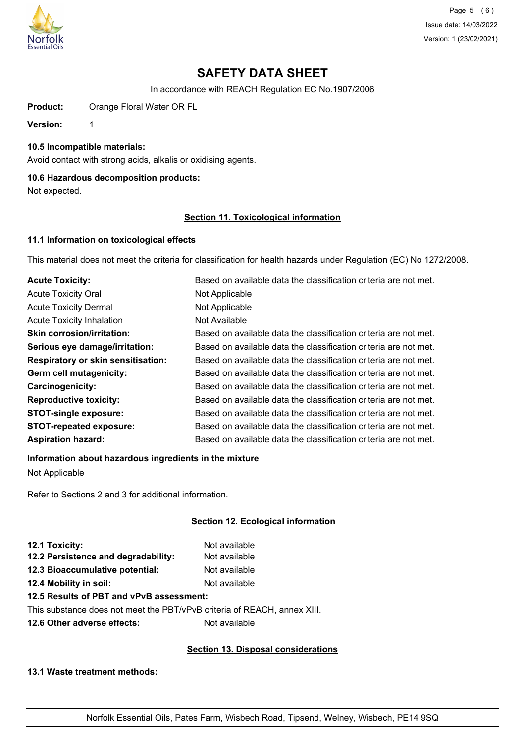

Page 5 (6) Issue date: 14/03/2022 Version: 1 (23/02/2021)

# **SAFETY DATA SHEET**

In accordance with REACH Regulation EC No.1907/2006

Product: Orange Floral Water OR FL

**Version:** 1

**10.5 Incompatible materials:**

Avoid contact with strong acids, alkalis or oxidising agents.

# **10.6 Hazardous decomposition products:**

Not expected.

# **Section 11. Toxicological information**

# **11.1 Information on toxicological effects**

This material does not meet the criteria for classification for health hazards under Regulation (EC) No 1272/2008.

| <b>Acute Toxicity:</b>                    | Based on available data the classification criteria are not met. |
|-------------------------------------------|------------------------------------------------------------------|
| <b>Acute Toxicity Oral</b>                | Not Applicable                                                   |
| <b>Acute Toxicity Dermal</b>              | Not Applicable                                                   |
| <b>Acute Toxicity Inhalation</b>          | Not Available                                                    |
| <b>Skin corrosion/irritation:</b>         | Based on available data the classification criteria are not met. |
| Serious eye damage/irritation:            | Based on available data the classification criteria are not met. |
| <b>Respiratory or skin sensitisation:</b> | Based on available data the classification criteria are not met. |
| Germ cell mutagenicity:                   | Based on available data the classification criteria are not met. |
| <b>Carcinogenicity:</b>                   | Based on available data the classification criteria are not met. |
| <b>Reproductive toxicity:</b>             | Based on available data the classification criteria are not met. |
| <b>STOT-single exposure:</b>              | Based on available data the classification criteria are not met. |
| <b>STOT-repeated exposure:</b>            | Based on available data the classification criteria are not met. |
| <b>Aspiration hazard:</b>                 | Based on available data the classification criteria are not met. |

# **Information about hazardous ingredients in the mixture**

Not Applicable

Refer to Sections 2 and 3 for additional information.

# **Section 12. Ecological information**

| 12.1 Toxicity:                      | Not available |
|-------------------------------------|---------------|
| 12.2 Persistence and degradability: | Not available |
| 12.3 Bioaccumulative potential:     | Not available |
| 12.4 Mobility in soil:              | Not available |
|                                     |               |

# **12.5 Results of PBT and vPvB assessment:**

This substance does not meet the PBT/vPvB criteria of REACH, annex XIII.

**12.6 Other adverse effects:** Not available

# **Section 13. Disposal considerations**

**13.1 Waste treatment methods:**